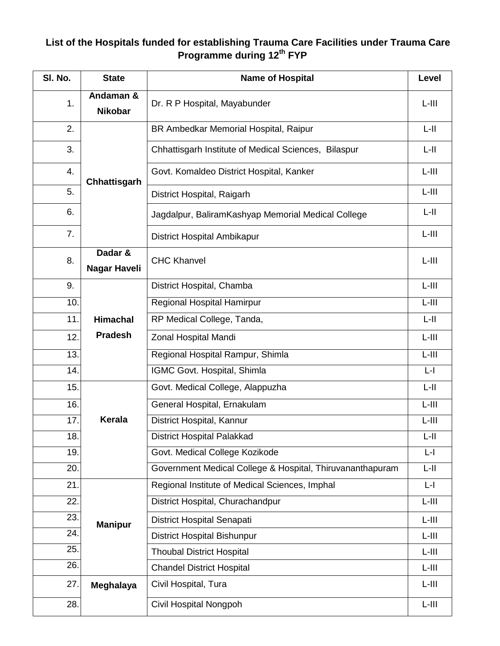## **List of the Hospitals funded for establishing Trauma Care Facilities under Trauma Care Programme during 12th FYP**

| SI. No. | <b>State</b>                | <b>Name of Hospital</b>                                   | Level    |
|---------|-----------------------------|-----------------------------------------------------------|----------|
| 1.      | Andaman &<br><b>Nikobar</b> | Dr. R P Hospital, Mayabunder                              | $L-HI$   |
| 2.      |                             | BR Ambedkar Memorial Hospital, Raipur                     | $L-H$    |
| 3.      |                             | Chhattisgarh Institute of Medical Sciences, Bilaspur      | $L-H$    |
| 4.      | Chhattisgarh                | Govt. Komaldeo District Hospital, Kanker                  | $L-III$  |
| 5.      |                             | District Hospital, Raigarh                                | $L-HI$   |
| 6.      |                             | Jagdalpur, BaliramKashyap Memorial Medical College        | $L-H$    |
| 7.      |                             | District Hospital Ambikapur                               | $L-III$  |
| 8.      | Dadar &<br>Nagar Haveli     | <b>CHC Khanvel</b>                                        | $L-HI$   |
| 9.      |                             | District Hospital, Chamba                                 | $L$ -III |
| 10.     |                             | Regional Hospital Hamirpur                                | $L$ -III |
| 11.     | <b>Himachal</b>             | RP Medical College, Tanda,                                | $L-H$    |
| 12.     | <b>Pradesh</b>              | Zonal Hospital Mandi                                      | $L-HI$   |
| 13.     |                             | Regional Hospital Rampur, Shimla                          | $L-HI$   |
| 14.     |                             | IGMC Govt. Hospital, Shimla                               | $L - I$  |
| 15.     |                             | Govt. Medical College, Alappuzha                          | $L-H$    |
| 16.     |                             | General Hospital, Ernakulam                               | $L-HI$   |
| 17.     | <b>Kerala</b>               | District Hospital, Kannur                                 | $L-HI$   |
| 18.     |                             | <b>District Hospital Palakkad</b>                         | $L-H$    |
| 19.     |                             | Govt. Medical College Kozikode                            | $L-I$    |
| 20.     |                             | Government Medical College & Hospital, Thiruvananthapuram | $L-H$    |
| 21.     |                             | Regional Institute of Medical Sciences, Imphal            | $L-I$    |
| 22.     |                             | District Hospital, Churachandpur                          | $L$ -III |
| 23.     | <b>Manipur</b>              | District Hospital Senapati                                | $L-HI$   |
| 24.     |                             | <b>District Hospital Bishunpur</b>                        | $L-HI$   |
| 25.     |                             | <b>Thoubal District Hospital</b>                          | $L$ -III |
| 26.     |                             | <b>Chandel District Hospital</b>                          | $L$ -III |
| 27.     | Meghalaya                   | Civil Hospital, Tura                                      | $L$ -III |
| 28.     |                             | Civil Hospital Nongpoh                                    | $L-HI$   |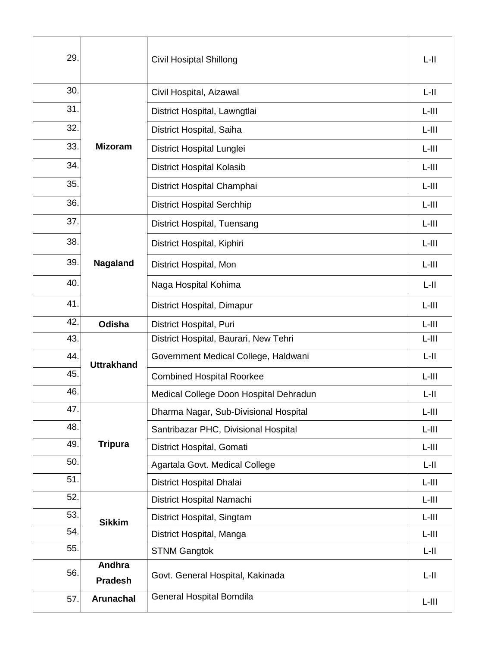| 29. |                          | <b>Civil Hosiptal Shillong</b>         | $L-H$    |
|-----|--------------------------|----------------------------------------|----------|
| 30. | <b>Mizoram</b>           | Civil Hospital, Aizawal                | $L-H$    |
| 31. |                          | District Hospital, Lawngtlai           | $L-III$  |
| 32. |                          | District Hospital, Saiha               | $L-III$  |
| 33. |                          | District Hospital Lunglei              | $L-III$  |
| 34. |                          | <b>District Hospital Kolasib</b>       | $L-III$  |
| 35. |                          | District Hospital Champhai             | $L-III$  |
| 36. |                          | <b>District Hospital Serchhip</b>      | $L-HI$   |
| 37. |                          | District Hospital, Tuensang            | $L$ -III |
| 38. | Nagaland                 | District Hospital, Kiphiri             | $L-HI$   |
| 39. |                          | District Hospital, Mon                 | $L-III$  |
| 40. |                          | Naga Hospital Kohima                   | $L-H$    |
| 41. |                          | District Hospital, Dimapur             | $L-III$  |
| 42. | Odisha                   | District Hospital, Puri                | $L-HI$   |
| 43. | <b>Uttrakhand</b>        | District Hospital, Baurari, New Tehri  | $L-HI$   |
| 44. |                          | Government Medical College, Haldwani   | $L-H$    |
| 45. |                          | <b>Combined Hospital Roorkee</b>       | $L-III$  |
| 46. |                          | Medical College Doon Hospital Dehradun | L-II     |
| 47. |                          | Dharma Nagar, Sub-Divisional Hospital  | $L-HI$   |
| 48. |                          | Santribazar PHC, Divisional Hospital   | $L-HI$   |
| 49. | <b>Tripura</b>           | District Hospital, Gomati              | $L-III$  |
| 50. |                          | Agartala Govt. Medical College         | $L-H$    |
| 51. |                          | District Hospital Dhalai               | $L-HI$   |
| 52. |                          | District Hospital Namachi              | $L-HI$   |
| 53. | <b>Sikkim</b>            | District Hospital, Singtam             | $L-HI$   |
| 54. |                          | District Hospital, Manga               | $L$ -III |
| 55. |                          | <b>STNM Gangtok</b>                    | $L-H$    |
| 56. | Andhra<br><b>Pradesh</b> | Govt. General Hospital, Kakinada       | $L-H$    |
| 57. | <b>Arunachal</b>         | <b>General Hospital Bomdila</b>        | $L-HI$   |